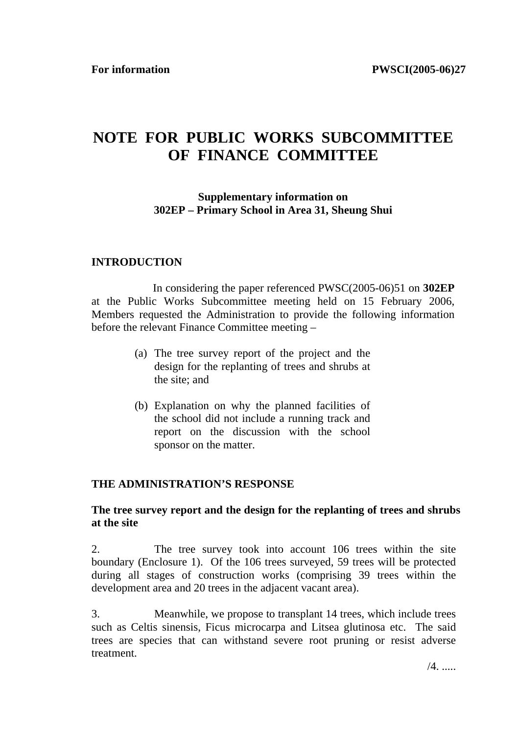# **NOTE FOR PUBLIC WORKS SUBCOMMITTEE OF FINANCE COMMITTEE**

### **Supplementary information on 302EP – Primary School in Area 31, Sheung Shui**

#### **INTRODUCTION**

 In considering the paper referenced PWSC(2005-06)51 on **302EP** at the Public Works Subcommittee meeting held on 15 February 2006, Members requested the Administration to provide the following information before the relevant Finance Committee meeting –

- (a) The tree survey report of the project and the design for the replanting of trees and shrubs at the site; and
- (b) Explanation on why the planned facilities of the school did not include a running track and report on the discussion with the school sponsor on the matter.

#### **THE ADMINISTRATION'S RESPONSE**

#### **The tree survey report and the design for the replanting of trees and shrubs at the site**

2. The tree survey took into account 106 trees within the site boundary (Enclosure 1). Of the 106 trees surveyed, 59 trees will be protected during all stages of construction works (comprising 39 trees within the development area and 20 trees in the adjacent vacant area).

3. Meanwhile, we propose to transplant 14 trees, which include trees such as Celtis sinensis, Ficus microcarpa and Litsea glutinosa etc. The said trees are species that can withstand severe root pruning or resist adverse treatment.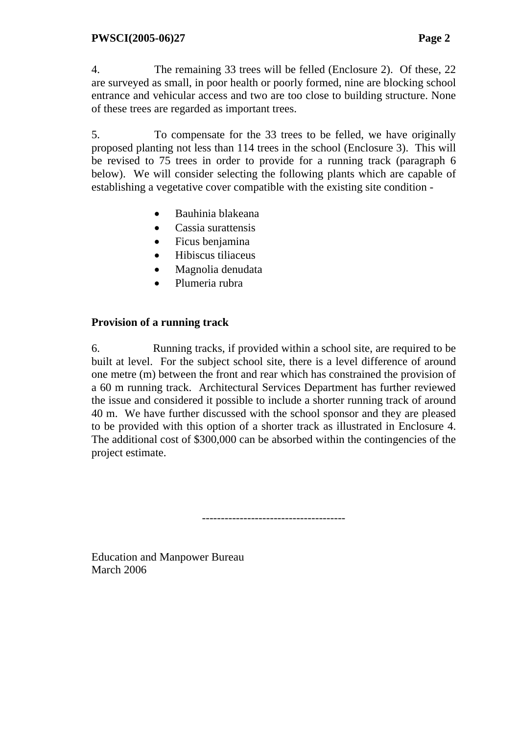4. The remaining 33 trees will be felled (Enclosure 2). Of these, 22 are surveyed as small, in poor health or poorly formed, nine are blocking school entrance and vehicular access and two are too close to building structure. None of these trees are regarded as important trees.

5. To compensate for the 33 trees to be felled, we have originally proposed planting not less than 114 trees in the school (Enclosure 3). This will be revised to 75 trees in order to provide for a running track (paragraph 6 below). We will consider selecting the following plants which are capable of establishing a vegetative cover compatible with the existing site condition -

- Bauhinia blakeana
- Cassia surattensis
- Ficus benjamina
- Hibiscus tiliaceus
- Magnolia denudata
- Plumeria rubra

## **Provision of a running track**

6. Running tracks, if provided within a school site, are required to be built at level. For the subject school site, there is a level difference of around one metre (m) between the front and rear which has constrained the provision of a 60 m running track. Architectural Services Department has further reviewed the issue and considered it possible to include a shorter running track of around 40 m. We have further discussed with the school sponsor and they are pleased to be provided with this option of a shorter track as illustrated in Enclosure 4. The additional cost of \$300,000 can be absorbed within the contingencies of the project estimate.

--------------------------------------

Education and Manpower Bureau March 2006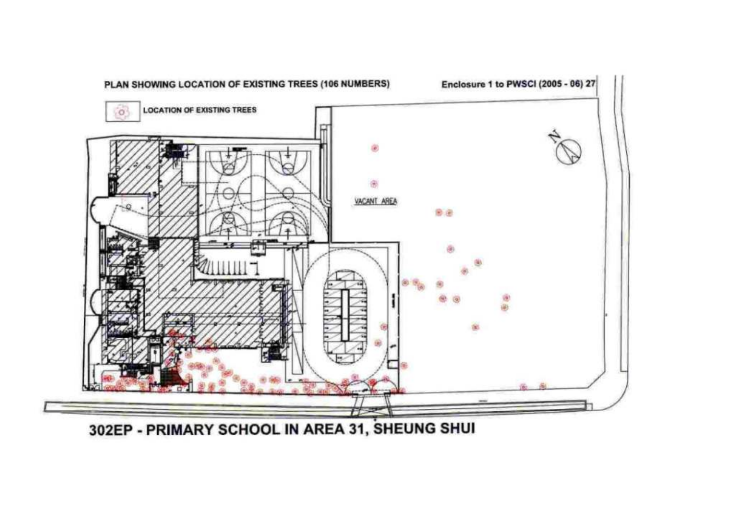

302EP - PRIMARY SCHOOL IN AREA 31, SHEUNG SHUI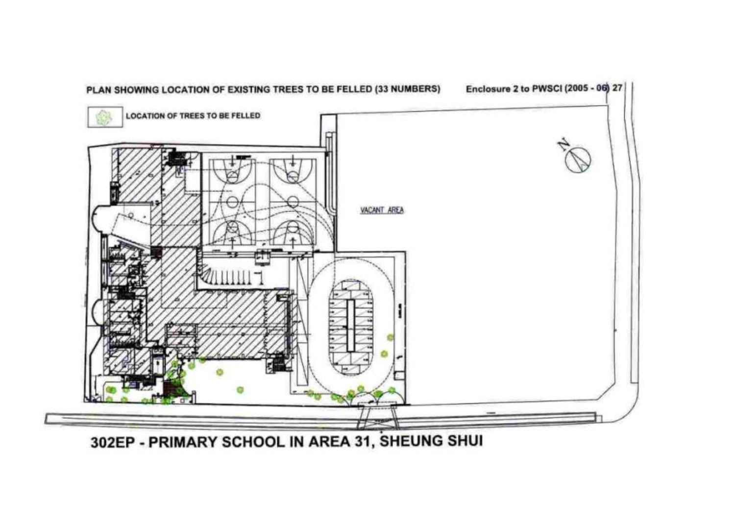

302EP - PRIMARY SCHOOL IN AREA 31, SHEUNG SHUI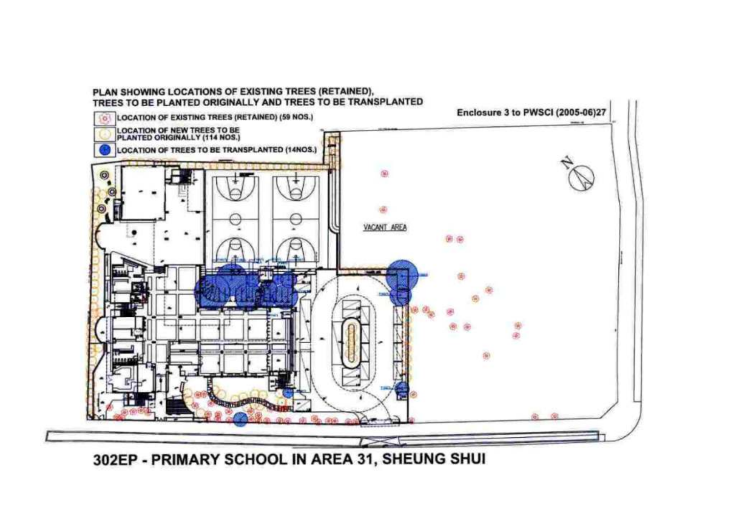# PLAN SHOWING LOCATIONS OF EXISTING TREES (RETAINED),<br>TREES TO BE PLANTED ORIGINALLY AND TREES TO BE TRANSPLANTED



302EP - PRIMARY SCHOOL IN AREA 31, SHEUNG SHUI